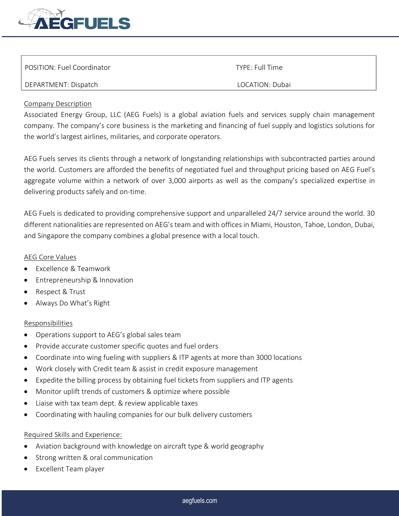

| POSITION: Fuel Coordinator | TYPE: Full Time |
|----------------------------|-----------------|
| DEPARTMENT: Dispatch       | LOCATION: Dubai |

## Company Description

Associated Energy Group, LLC (AEG Fuels) is a global aviation fuels and services supply chain management company. The company's core business is the marketing and financing of fuel supply and logistics solutions for the world's largest airlines, militaries, and corporate operators.

AEG Fuels serves its clients through a network of longstanding relationships with subcontracted parties around the world. Customers are afforded the benefits of negotiated fuel and throughput pricing based on AEG Fuel's aggregate volume within a network of over 3,000 airports as well as the company's specialized expertise in delivering products safely and on-time.

AEG Fuels is dedicated to providing comprehensive support and unparalleled 24/7 service around the world. 30 different nationalities are represented on AEG's team and with offices in Miami, Houston, Tahoe, London, Dubai, and Singapore the company combines a global presence with a local touch.

## AEG Core Values

- Excellence & Teamwork
- Entrepreneurship & Innovation
- Respect & Trust
- Always Do What's Right

## Responsibilities

- Operations support to AEG's global sales team
- Provide accurate customer specific quotes and fuel orders
- Coordinate into wing fueling with suppliers & ITP agents at more than 3000 locations
- Work closely with Credit team & assist in credit exposure management
- Expedite the billing process by obtaining fuel tickets from suppliers and ITP agents
- Monitor uplift trends of customers & optimize where possible
- Liaise with tax team dept. & review applicable taxes
- Coordinating with hauling companies for our bulk delivery customers

## Required Skills and Experience:

- Aviation background with knowledge on aircraft type & world geography
- Strong written & oral communication
- Excellent Team player